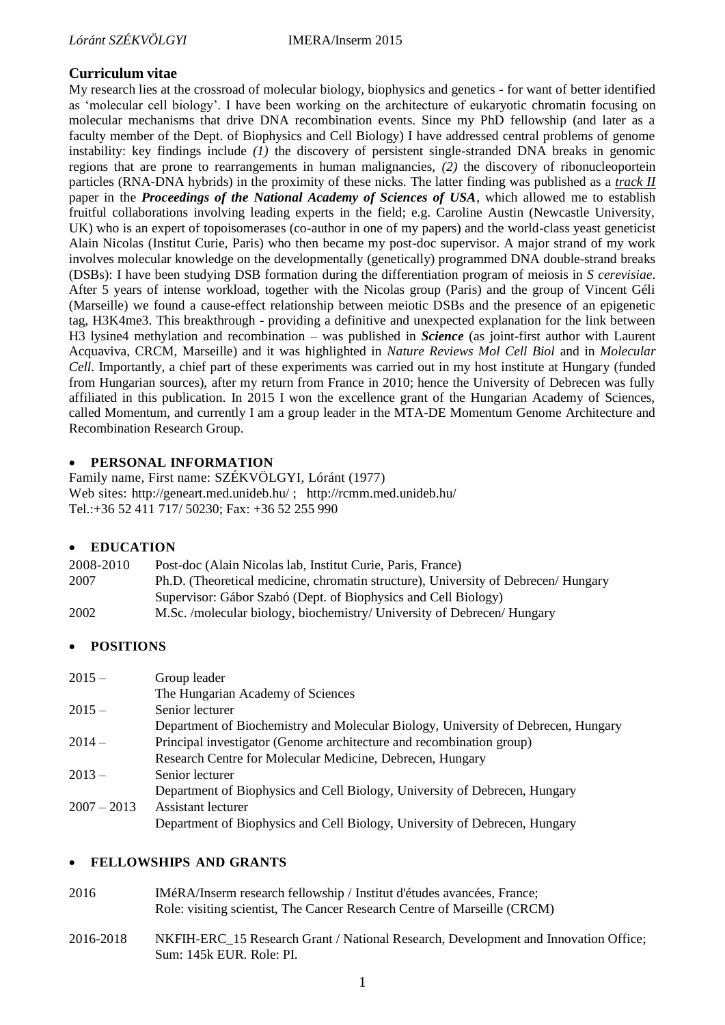# **Curriculum vitae**

My research lies at the crossroad of molecular biology, biophysics and genetics - for want of better identified as 'molecular cell biology'. I have been working on the architecture of eukaryotic chromatin focusing on molecular mechanisms that drive DNA recombination events. Since my PhD fellowship (and later as a faculty member of the Dept. of Biophysics and Cell Biology) I have addressed central problems of genome instability: key findings include *(1)* the discovery of persistent single-stranded DNA breaks in genomic regions that are prone to rearrangements in human malignancies, *(2)* the discovery of ribonucleoportein particles (RNA-DNA hybrids) in the proximity of these nicks. The latter finding was published as a *track II* paper in the *Proceedings of the National Academy of Sciences of USA*, which allowed me to establish fruitful collaborations involving leading experts in the field; e.g. Caroline Austin (Newcastle University, UK) who is an expert of topoisomerases (co-author in one of my papers) and the world-class yeast geneticist Alain Nicolas (Institut Curie, Paris) who then became my post-doc supervisor. A major strand of my work involves molecular knowledge on the developmentally (genetically) programmed DNA double-strand breaks (DSBs): I have been studying DSB formation during the differentiation program of meiosis in *S cerevisiae*. After 5 years of intense workload, together with the Nicolas group (Paris) and the group of Vincent Géli (Marseille) we found a cause-effect relationship between meiotic DSBs and the presence of an epigenetic tag, H3K4me3. This breakthrough - providing a definitive and unexpected explanation for the link between H3 lysine4 methylation and recombination – was published in *Science* (as joint-first author with Laurent Acquaviva, CRCM, Marseille) and it was highlighted in *Nature Reviews Mol Cell Biol* and in *Molecular Cell*. Importantly, a chief part of these experiments was carried out in my host institute at Hungary (funded from Hungarian sources), after my return from France in 2010; hence the University of Debrecen was fully affiliated in this publication. In 2015 I won the excellence grant of the Hungarian Academy of Sciences, called Momentum, and currently I am a group leader in the MTA-DE Momentum Genome Architecture and Recombination Research Group.

## **PERSONAL INFORMATION**

Family name, First name: SZÉKVÖLGYI, Lóránt (1977) Web sites:<http://geneart.med.unideb.hu/> ; <http://rcmm.med.unideb.hu/> Tel.[:+36 52 411 717/](callto:+36%2052%20411%20717) 50230; Fax: [+36 52 255 990](callto:+36%2052%20255%20990)

## **EDUCATION**

| 2008-2010 | Post-doc (Alain Nicolas lab, Institut Curie, Paris, France)                       |
|-----------|-----------------------------------------------------------------------------------|
| 2007      | Ph.D. (Theoretical medicine, chromatin structure), University of Debrecen/Hungary |
|           | Supervisor: Gábor Szabó (Dept. of Biophysics and Cell Biology)                    |
| 2002      | M.Sc. /molecular biology, biochemistry/ University of Debrecen/ Hungary           |

## **POSITIONS**

| $2015 -$      | Group leader                                                                      |
|---------------|-----------------------------------------------------------------------------------|
|               | The Hungarian Academy of Sciences                                                 |
| $2015 -$      | Senior lecturer                                                                   |
|               | Department of Biochemistry and Molecular Biology, University of Debrecen, Hungary |
| $2014-$       | Principal investigator (Genome architecture and recombination group)              |
|               | Research Centre for Molecular Medicine, Debrecen, Hungary                         |
| $2013 -$      | Senior lecturer                                                                   |
|               | Department of Biophysics and Cell Biology, University of Debrecen, Hungary        |
| $2007 - 2013$ | Assistant lecturer                                                                |
|               | Department of Biophysics and Cell Biology, University of Debrecen, Hungary        |

## **FELLOWSHIPS AND GRANTS**

- 2016 IMéRA/Inserm research fellowship / Institut d'études avancées, France; Role: visiting scientist, The Cancer Research Centre of Marseille (CRCM)
- 2016-2018 NKFIH-ERC\_15 Research Grant / National Research, Development and Innovation Office; Sum: 145k EUR. Role: PI.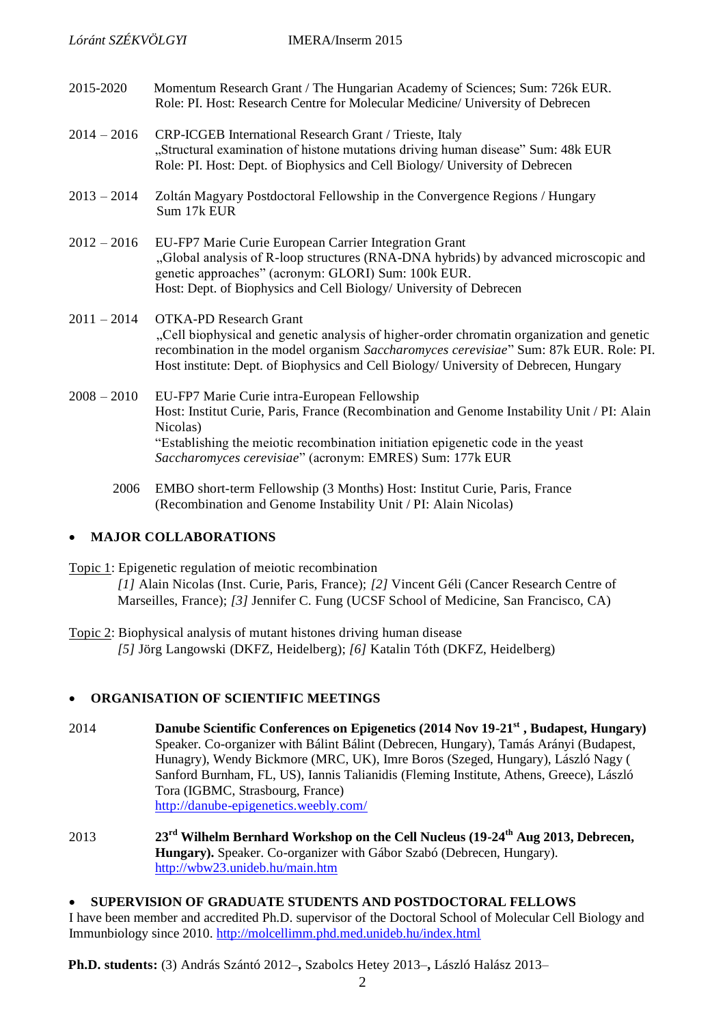- 2015-2020 Momentum Research Grant / The Hungarian Academy of Sciences; Sum: 726k EUR. Role: PI. Host: Research Centre for Molecular Medicine/ University of Debrecen
- 2014 2016 CRP-ICGEB International Research Grant / Trieste, Italy "Structural examination of histone mutations driving human disease" Sum: 48k EUR Role: PI. Host: Dept. of Biophysics and Cell Biology/ University of Debrecen
- 2013 2014 Zoltán Magyary Postdoctoral Fellowship in the Convergence Regions / Hungary Sum 17k EUR
- 2012 2016 EU-FP7 Marie Curie European Carrier Integration Grant "Global analysis of R-loop structures (RNA-DNA hybrids) by advanced microscopic and genetic approaches" (acronym: GLORI) Sum: 100k EUR. Host: Dept. of Biophysics and Cell Biology/ University of Debrecen
- 2011 2014 OTKA-PD Research Grant "Cell biophysical and genetic analysis of higher-order chromatin organization and genetic recombination in the model organism *Saccharomyces cerevisiae*" Sum: 87k EUR. Role: PI. Host institute: Dept. of Biophysics and Cell Biology/ University of Debrecen, Hungary
- 2008 2010 EU-FP7 Marie Curie intra-European Fellowship Host: Institut Curie, Paris, France (Recombination and Genome Instability Unit / PI: Alain Nicolas) "Establishing the meiotic recombination initiation epigenetic code in the yeast *Saccharomyces cerevisiae*" (acronym: EMRES) Sum: 177k EUR
	- 2006 EMBO short-term Fellowship (3 Months) Host: Institut Curie, Paris, France (Recombination and Genome Instability Unit / PI: Alain Nicolas)

## **MAJOR COLLABORATIONS**

Topic 1: Epigenetic regulation of meiotic recombination *[1]* Alain Nicolas (Inst. Curie, Paris, France); *[2]* Vincent Géli (Cancer Research Centre of Marseilles, France); *[3]* Jennifer C. Fung (UCSF School of Medicine, San Francisco, CA)

Topic 2: Biophysical analysis of mutant histones driving human disease  *[5]* Jörg Langowski (DKFZ, Heidelberg); *[6]* Katalin Tóth (DKFZ, Heidelberg)

## **ORGANISATION OF SCIENTIFIC MEETINGS**

- 2014 **Danube Scientific Conferences on Epigenetics (2014 Nov 19-21st , Budapest, Hungary)** Speaker. Co-organizer with Bálint Bálint (Debrecen, Hungary), Tamás Arányi (Budapest, Hunagry), Wendy Bickmore (MRC, UK), Imre Boros (Szeged, Hungary), László Nagy ( Sanford Burnham, FL, US), Iannis Talianidis (Fleming Institute, Athens, Greece), László Tora (IGBMC, Strasbourg, France) <http://danube-epigenetics.weebly.com/>
- 2013 **23rd Wilhelm Bernhard Workshop on the Cell Nucleus (19-24th Aug 2013, Debrecen, Hungary).** Speaker. Co-organizer with Gábor Szabó (Debrecen, Hungary). <http://wbw23.unideb.hu/main.htm>

#### **SUPERVISION OF GRADUATE STUDENTS AND POSTDOCTORAL FELLOWS**

I have been member and accredited Ph.D. supervisor of the Doctoral School of Molecular Cell Biology and Immunbiology since 2010.<http://molcellimm.phd.med.unideb.hu/index.html>

**Ph.D. students:** (3) András Szántó 2012–**,** Szabolcs Hetey 2013–**,** László Halász 2013–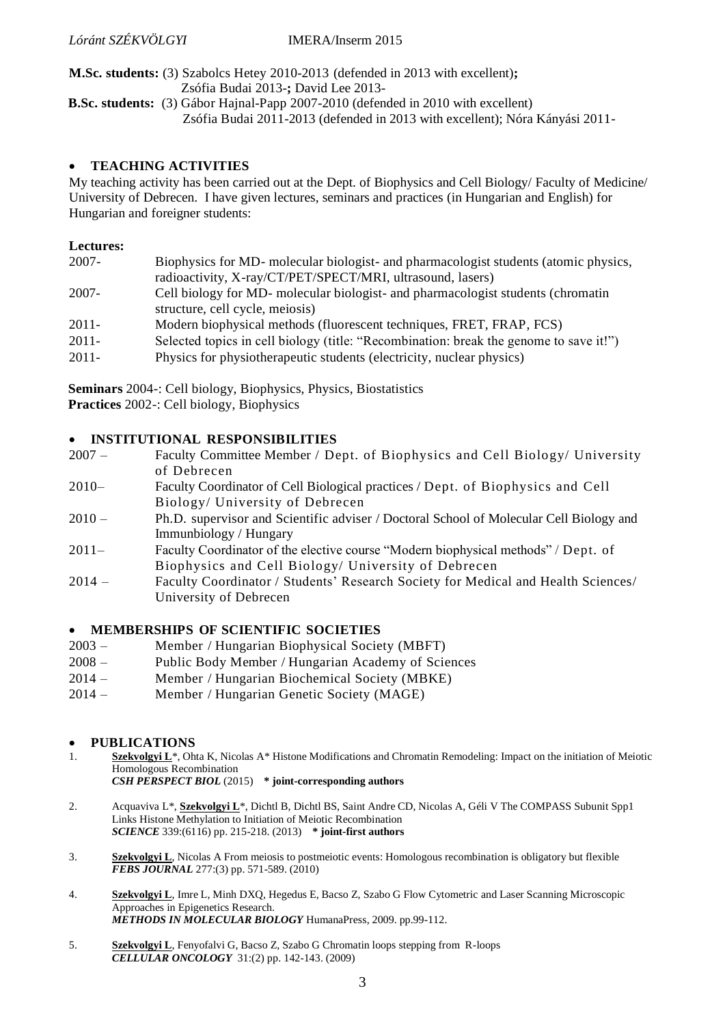**M.Sc. students:** (3) Szabolcs Hetey 2010-2013 (defended in 2013 with excellent)**;** Zsófia Budai 2013-**;** David Lee 2013-

**B.Sc. students:** (3) Gábor Hajnal-Papp 2007-2010 (defended in 2010 with excellent) Zsófia Budai 2011-2013 (defended in 2013 with excellent); Nóra Kányási 2011-

#### **TEACHING ACTIVITIES**

My teaching activity has been carried out at the Dept. of Biophysics and Cell Biology/ Faculty of Medicine/ University of Debrecen. I have given lectures, seminars and practices (in Hungarian and English) for Hungarian and foreigner students:

#### **Lectures:**

| $2007 -$ | Biophysics for MD- molecular biologist- and pharmacologist students (atomic physics,   |
|----------|----------------------------------------------------------------------------------------|
|          | radioactivity, X-ray/CT/PET/SPECT/MRI, ultrasound, lasers)                             |
| $2007 -$ | Cell biology for MD- molecular biologist- and pharmacologist students (chromatin       |
|          | structure, cell cycle, meiosis)                                                        |
| $2011 -$ | Modern biophysical methods (fluorescent techniques, FRET, FRAP, FCS)                   |
| $2011 -$ | Selected topics in cell biology (title: "Recombination: break the genome to save it!") |
| $2011 -$ | Physics for physiotherapeutic students (electricity, nuclear physics)                  |

**Seminars** 2004-: Cell biology, Biophysics, Physics, Biostatistics **Practices** 2002-: Cell biology, Biophysics

## **INSTITUTIONAL RESPONSIBILITIES**

- 2007 Faculty Committee Member / Dept. of Biophysics and Cell Biology/ University of Debrecen
- 2010– Faculty Coordinator of Cell Biological practices / Dept. of Biophysics and Cell Biology/ University of Debrecen
- 2010 Ph.D. supervisor and Scientific adviser / Doctoral School of Molecular Cell Biology and Immunbiology / Hungary
- 2011– Faculty Coordinator of the elective course "Modern biophysical methods" / Dept. of Biophysics and Cell Biology/ University of Debrecen
- 2014 Faculty Coordinator / Students' Research Society for Medical and Health Sciences/ University of Debrecen

#### **MEMBERSHIPS OF SCIENTIFIC SOCIETIES**

- 2003 Member / Hungarian Biophysical Society (MBFT)
- 2008 Public Body Member / Hungarian Academy of Sciences
- 2014 Member / Hungarian Biochemical Society (MBKE)
- 2014 Member / Hungarian Genetic Society (MAGE)

#### **PUBLICATIONS**

- 1. **Szekvolgyi L**\*, Ohta K, Nicolas A\* Histone Modifications and Chromatin Remodeling: Impact on the initiation of Meiotic Homologous Recombination
	- *CSH PERSPECT BIOL* (2015) **\* joint-corresponding authors**
- 2. Acquaviva L\*, **Szekvolgyi L**\*, Dichtl B, Dichtl BS, Saint Andre CD, Nicolas A, Géli V The COMPASS Subunit Spp1 Links Histone Methylation to Initiation of Meiotic Recombination *SCIENCE* 339:(6116) pp. 215-218. (2013) **\* joint-first authors**
- 3. **Szekvolgyi L**, Nicolas A From meiosis to postmeiotic events: Homologous recombination is obligatory but flexible *FEBS JOURNAL* 277:(3) pp. 571-589. (2010)
- 4. **Szekvolgyi L**, Imre L, Minh DXQ, Hegedus E, Bacso Z, Szabo G Flow Cytometric and Laser Scanning Microscopic Approaches in Epigenetics Research. *METHODS IN MOLECULAR BIOLOGY* HumanaPress, 2009. pp.99-112.
- 5. **Szekvolgyi L**, Fenyofalvi G, Bacso Z, Szabo G Chromatin loops stepping from R-loops *CELLULAR ONCOLOGY* 31:(2) pp. 142-143. (2009)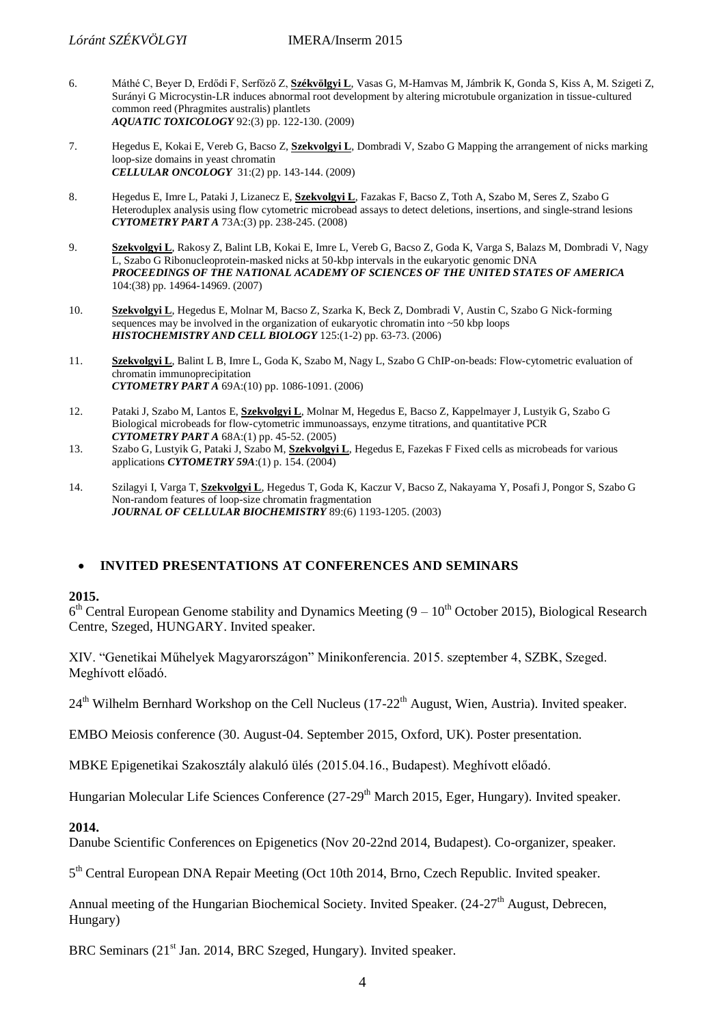- 6. Máthé C, Beyer D, Erdődi F, Serfőző Z, **Székvölgyi L**, Vasas G, M-Hamvas M, Jámbrik K, Gonda S, Kiss A, M. Szigeti Z, Surányi G Microcystin-LR induces abnormal root development by altering microtubule organization in tissue-cultured common reed (Phragmites australis) plantlets *AQUATIC TOXICOLOGY* 92:(3) pp. 122-130. (2009)
- 7. Hegedus E, Kokai E, Vereb G, Bacso Z, **Szekvolgyi L**, Dombradi V, Szabo G Mapping the arrangement of nicks marking loop-size domains in yeast chromatin *CELLULAR ONCOLOGY* 31:(2) pp. 143-144. (2009)
- 8. Hegedus E, Imre L, Pataki J, Lizanecz E, **Szekvolgyi L**, Fazakas F, Bacso Z, Toth A, Szabo M, Seres Z, Szabo G Heteroduplex analysis using flow cytometric microbead assays to detect deletions, insertions, and single-strand lesions *CYTOMETRY PART A* 73A:(3) pp. 238-245. (2008)
- 9. **Szekvolgyi L**, Rakosy Z, Balint LB, Kokai E, Imre L, Vereb G, Bacso Z, Goda K, Varga S, Balazs M, Dombradi V, Nagy L, Szabo G Ribonucleoprotein-masked nicks at 50-kbp intervals in the eukaryotic genomic DNA *PROCEEDINGS OF THE NATIONAL ACADEMY OF SCIENCES OF THE UNITED STATES OF AMERICA* 104:(38) pp. 14964-14969. (2007)
- 10. **Szekvolgyi L**, Hegedus E, Molnar M, Bacso Z, Szarka K, Beck Z, Dombradi V, Austin C, Szabo G Nick-forming sequences may be involved in the organization of eukaryotic chromatin into ~50 kbp loops *HISTOCHEMISTRY AND CELL BIOLOGY* 125:(1-2) pp. 63-73. (2006)
- 11. **Szekvolgyi L**, Balint L B, Imre L, Goda K, Szabo M, Nagy L, Szabo G ChIP-on-beads: Flow-cytometric evaluation of chromatin immunoprecipitation *CYTOMETRY PART A* 69A:(10) pp. 1086-1091. (2006)
- 12. Pataki J, Szabo M, Lantos E, **Szekvolgyi L**, Molnar M, Hegedus E, Bacso Z, Kappelmayer J, Lustyik G, Szabo G Biological microbeads for flow-cytometric immunoassays, enzyme titrations, and quantitative PCR *CYTOMETRY PART A* 68A:(1) pp. 45-52. (2005) 13. Szabo G, Lustyik G, Pataki J, Szabo M, **Szekvolgyi L**, Hegedus E, Fazekas F Fixed cells as microbeads for various
- applications *CYTOMETRY 59A*:(1) p. 154. (2004)
- 14. Szilagyi I, Varga T, **Szekvolgyi L**, Hegedus T, Goda K, Kaczur V, Bacso Z, Nakayama Y, Posafi J, Pongor S, Szabo G Non-random features of loop-size chromatin fragmentation *JOURNAL OF CELLULAR BIOCHEMISTRY* 89:(6) 1193-1205. (2003)

## **INVITED PRESENTATIONS AT CONFERENCES AND SEMINARS**

#### **2015.**

 $6<sup>th</sup>$  Central European Genome stability and Dynamics Meeting  $(9 - 10<sup>th</sup>$  October 2015), Biological Research Centre, Szeged, HUNGARY. Invited speaker.

XIV. "Genetikai Műhelyek Magyarországon" Minikonferencia. 2015. szeptember 4, SZBK, Szeged. Meghívott előadó.

24<sup>th</sup> Wilhelm Bernhard Workshop on the Cell Nucleus (17-22<sup>th</sup> August, Wien, Austria). Invited speaker.

EMBO Meiosis conference (30. August-04. September 2015, Oxford, UK). Poster presentation.

MBKE Epigenetikai Szakosztály alakuló ülés (2015.04.16., Budapest). Meghívott előadó.

Hungarian Molecular Life Sciences Conference (27-29<sup>th</sup> March 2015, Eger, Hungary). Invited speaker.

#### **2014.**

Danube Scientific Conferences on Epigenetics (Nov 20-22nd 2014, Budapest). Co-organizer, speaker.

5<sup>th</sup> Central European DNA Repair Meeting (Oct 10th 2014, Brno, Czech Republic. Invited speaker.

Annual meeting of the Hungarian Biochemical Society. Invited Speaker.  $(24-27<sup>th</sup>$  August, Debrecen, Hungary)

BRC Seminars (21<sup>st</sup> Jan. 2014, BRC Szeged, Hungary). Invited speaker.